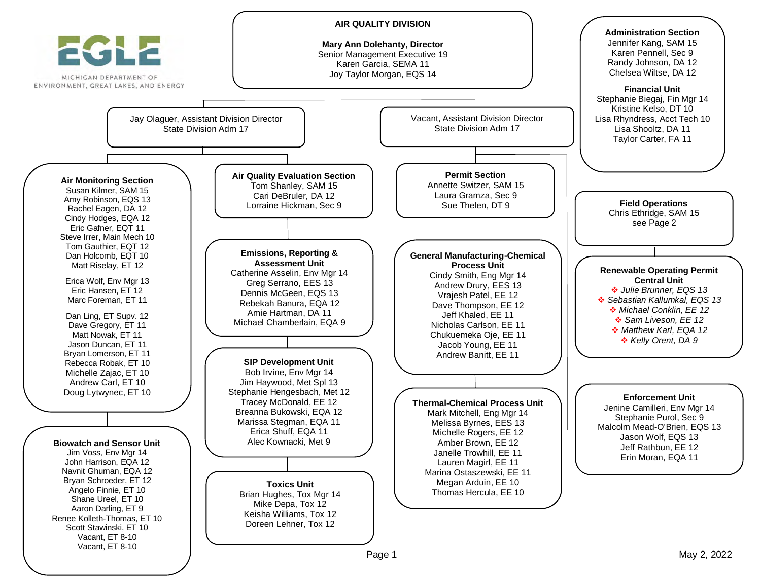